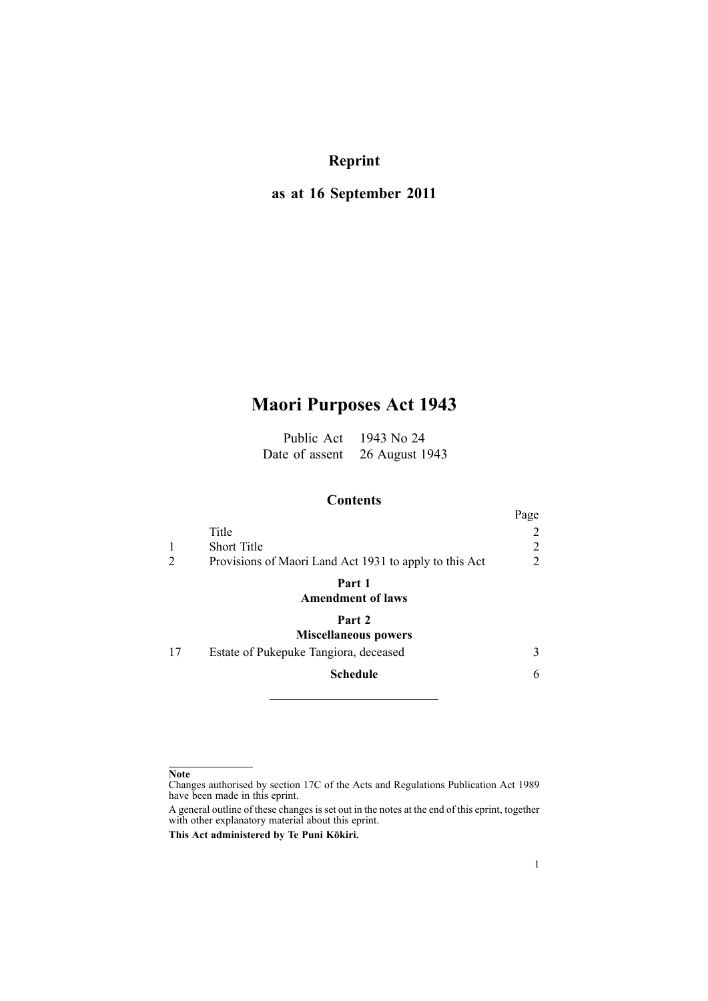# **Reprint**

# **as at 16 September 2011**

# **Maori Purposes Act 1943**

Public Act 1943 No 24 Date of assent 26 August 1943

# **Contents**

|    |                                                        | Page |
|----|--------------------------------------------------------|------|
|    | Title                                                  | 2    |
|    | <b>Short Title</b>                                     | 2    |
|    | Provisions of Maori Land Act 1931 to apply to this Act | 2    |
|    | Part 1                                                 |      |
|    | <b>Amendment of laws</b>                               |      |
|    | Part 2                                                 |      |
|    | <b>Miscellaneous powers</b>                            |      |
| 17 | Estate of Pukepuke Tangiora, deceased                  | 3    |
|    | <b>Schedule</b>                                        | 6    |
|    |                                                        |      |

### **Note**

Changes authorised by [section](http://www.legislation.govt.nz/pdflink.aspx?id=DLM195466) 17C of the Acts and Regulations Publication Act 1989 have been made in this eprint.

A general outline of these changes is set out in the notes at the end of this eprint, together with other explanatory material about this eprint.

**This Act administered by Te Puni Kōkiri.**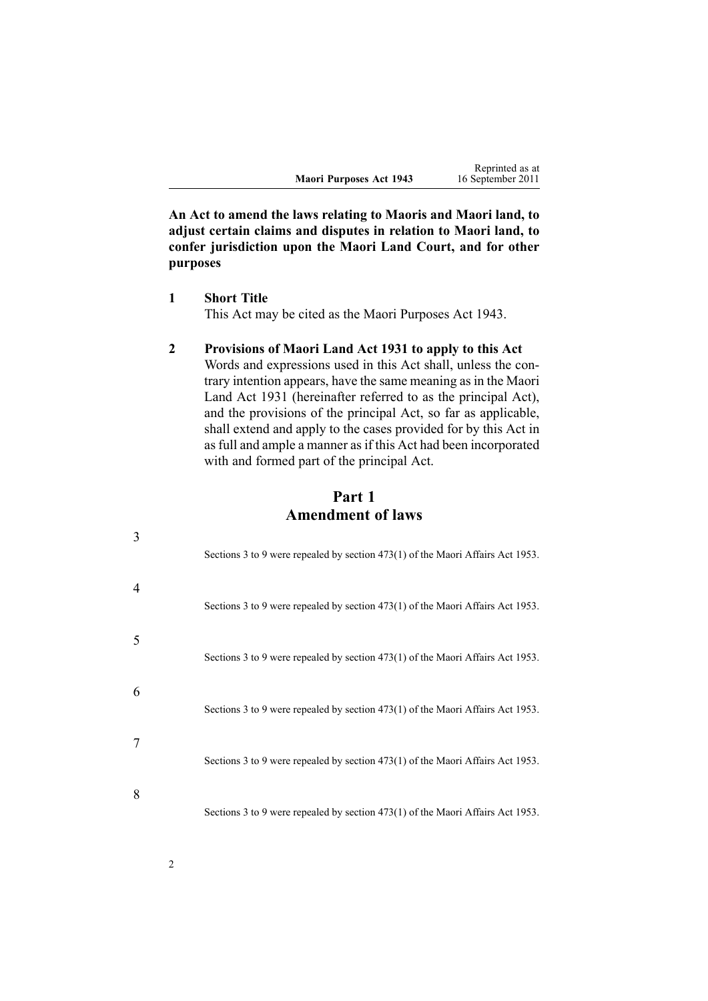|                         | Reprinted as at   |
|-------------------------|-------------------|
| Maori Purposes Act 1943 | 16 September 2011 |

<span id="page-1-0"></span>**An Act to amend the laws relating to Maoris and Maori land, to adjust certain claims and disputes in relation to Maori land, to confer jurisdiction upon the Maori Land Court, and for other purposes**

**1 Short Title**

This Act may be cited as the Maori Purposes Act 1943.

## **2 Provisions of Maori Land Act 1931 to apply to this Act**

Words and expressions used in this Act shall, unless the contrary intention appears, have the same meaning as in the Maori Land Act 1931 (hereinafter referred to as the principal Act), and the provisions of the principal Act, so far as applicable, shall extend and apply to the cases provided for by this Act in as full and ample a manner as if this Act had been incorporated with and formed par<sup>t</sup> of the principal Act.

**Part 1 Amendment of laws**

| 3 | Sections 3 to 9 were repealed by section 473(1) of the Maori Affairs Act 1953.   |
|---|----------------------------------------------------------------------------------|
| 4 | Sections 3 to 9 were repealed by section 473(1) of the Maori Affairs Act 1953.   |
| 5 | Sections 3 to 9 were repealed by section 473(1) of the Maori Affairs Act 1953.   |
| 6 | Sections 3 to 9 were repealed by section 473(1) of the Maori Affairs Act 1953.   |
|   | Sections 3 to 9 were repealed by section $473(1)$ of the Maori Affairs Act 1953. |
| 8 | Sections 3 to 9 were repealed by section 473(1) of the Maori Affairs Act 1953.   |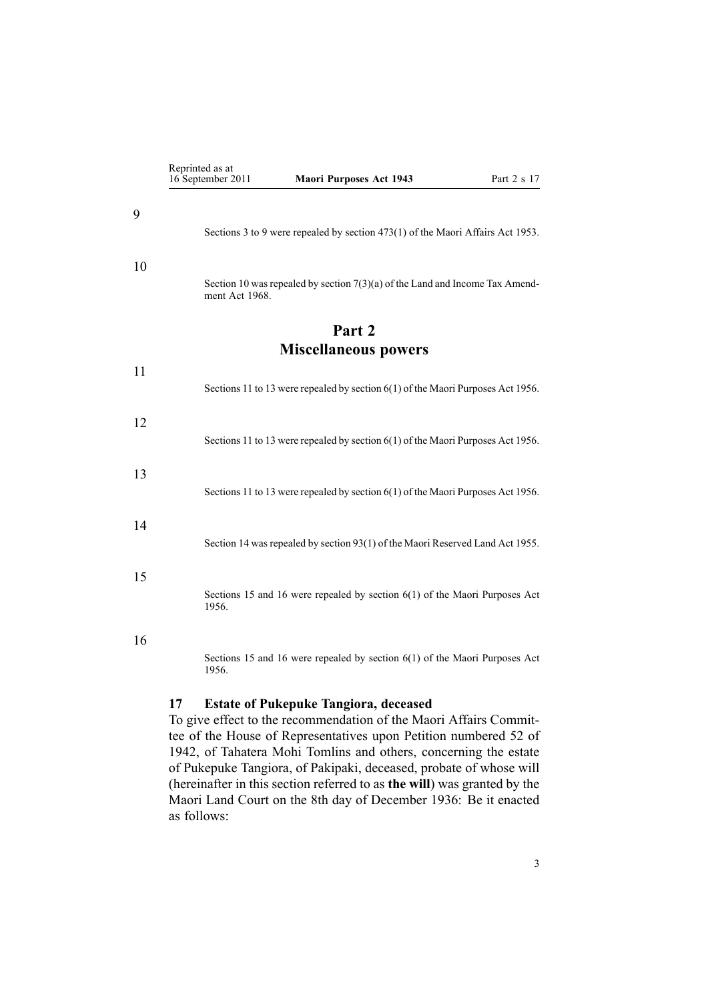<span id="page-2-0"></span>

|                             | Reprinted as at<br>16 September 2011 | <b>Maori Purposes Act 1943</b>                                                  | Part 2 s 17 |
|-----------------------------|--------------------------------------|---------------------------------------------------------------------------------|-------------|
|                             |                                      |                                                                                 |             |
|                             |                                      | Sections 3 to 9 were repealed by section 473(1) of the Maori Affairs Act 1953.  |             |
|                             |                                      |                                                                                 |             |
|                             | ment Act 1968.                       | Section 10 was repealed by section $7(3)(a)$ of the Land and Income Tax Amend-  |             |
|                             |                                      | Part 2                                                                          |             |
| <b>Miscellaneous powers</b> |                                      |                                                                                 |             |
|                             |                                      | Sections 11 to 13 were repealed by section 6(1) of the Maori Purposes Act 1956. |             |
|                             |                                      |                                                                                 |             |
|                             |                                      | Sections 11 to 13 were repealed by section 6(1) of the Maori Purposes Act 1956. |             |
|                             |                                      | Sections 11 to 13 were repealed by section 6(1) of the Maori Purposes Act 1956. |             |
|                             |                                      |                                                                                 |             |
|                             |                                      | Section 14 was repealed by section 93(1) of the Maori Reserved Land Act 1955.   |             |
|                             |                                      |                                                                                 |             |
|                             | 1956.                                | Sections 15 and 16 were repealed by section $6(1)$ of the Maori Purposes Act    |             |
|                             |                                      |                                                                                 |             |
|                             | 1956.                                | Sections 15 and 16 were repealed by section $6(1)$ of the Maori Purposes Act    |             |
| 17                          |                                      | <b>Estate of Pukepuke Tangiora, deceased</b>                                    |             |

To give effect to the recommendation of the Maori Affairs Committee of the House of Representatives upon Petition numbered 52 of 1942, of Tahatera Mohi Tomlins and others, concerning the estate of Pukepuke Tangiora, of Pakipaki, deceased, probate of whose will (hereinafter in this section referred to as **the will**) was granted by the Maori Land Court on the 8th day of December 1936: Be it enacted as follows: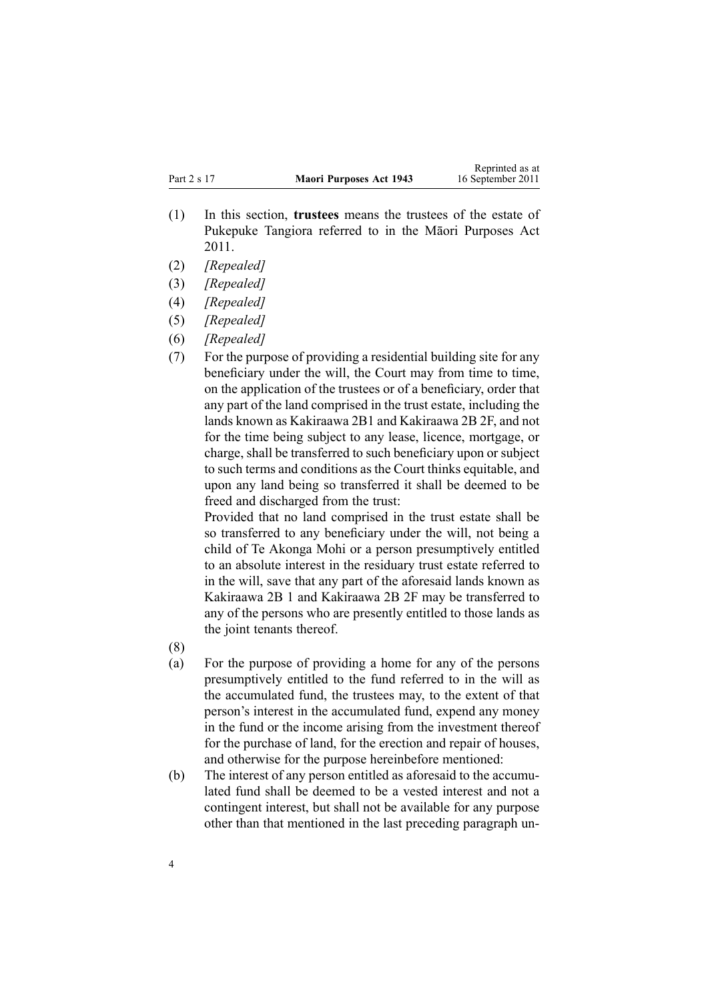- (1) In this section, **trustees** means the trustees of the estate of Pukepuke Tangiora referred to in the Māori [Purposes](http://www.legislation.govt.nz/pdflink.aspx?id=DLM3335254) Act [2011](http://www.legislation.govt.nz/pdflink.aspx?id=DLM3335254).
- (2) *[Repealed]*
- (3) *[Repealed]*
- (4) *[Repealed]*
- (5) *[Repealed]*
- (6) *[Repealed]*
- (7) For the purpose of providing <sup>a</sup> residential building site for any beneficiary under the will, the Court may from time to time, on the application of the trustees or of <sup>a</sup> beneficiary, order that any par<sup>t</sup> of the land comprised in the trust estate, including the lands known as Kakiraawa 2B1 and Kakiraawa 2B 2F, and not for the time being subject to any lease, licence, mortgage, or charge, shall be transferred to such beneficiary upon or subject to such terms and conditions as the Court thinks equitable, and upon any land being so transferred it shall be deemed to be freed and discharged from the trust:

Provided that no land comprised in the trust estate shall be so transferred to any beneficiary under the will, not being <sup>a</sup> child of Te Akonga Mohi or <sup>a</sup> person presumptively entitled to an absolute interest in the residuary trust estate referred to in the will, save that any par<sup>t</sup> of the aforesaid lands known as Kakiraawa 2B 1 and Kakiraawa 2B 2F may be transferred to any of the persons who are presently entitled to those lands as the joint tenants thereof.

- (8)
- (a) For the purpose of providing <sup>a</sup> home for any of the persons presumptively entitled to the fund referred to in the will as the accumulated fund, the trustees may, to the extent of that person's interest in the accumulated fund, expend any money in the fund or the income arising from the investment thereof for the purchase of land, for the erection and repair of houses, and otherwise for the purpose hereinbefore mentioned:
- (b) The interest of any person entitled as aforesaid to the accumulated fund shall be deemed to be <sup>a</sup> vested interest and not <sup>a</sup> contingent interest, but shall not be available for any purpose other than that mentioned in the last preceding paragraph un-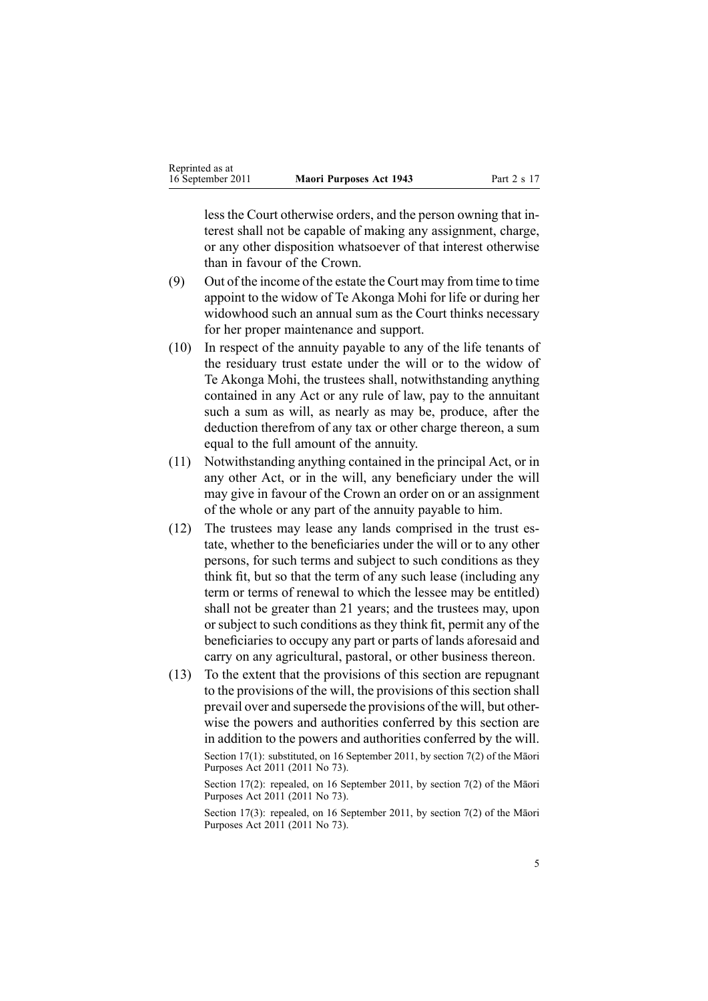less the Court otherwise orders, and the person owning that interest shall not be capable of making any assignment, charge, or any other disposition whatsoever of that interest otherwise than in favour of the Crown.

- (9) Out of the income of the estate the Court may from time to time appoint to the widow of Te Akonga Mohi for life or during her widowhood such an annual sum as the Court thinks necessary for her proper maintenance and support.
- (10) In respec<sup>t</sup> of the annuity payable to any of the life tenants of the residuary trust estate under the will or to the widow of Te Akonga Mohi, the trustees shall, notwithstanding anything contained in any Act or any rule of law, pay to the annuitant such <sup>a</sup> sum as will, as nearly as may be, produce, after the deduction therefrom of any tax or other charge thereon, <sup>a</sup> sum equal to the full amount of the annuity.
- (11) Notwithstanding anything contained in the principal Act, or in any other Act, or in the will, any beneficiary under the will may give in favour of the Crown an order on or an assignment of the whole or any par<sup>t</sup> of the annuity payable to him.
- (12) The trustees may lease any lands comprised in the trust estate, whether to the beneficiaries under the will or to any other persons, for such terms and subject to such conditions as they think fit, but so that the term of any such lease (including any term or terms of renewal to which the lessee may be entitled) shall not be greater than 21 years; and the trustees may, upon or subject to such conditions as they think fit, permit any of the beneficiaries to occupy any par<sup>t</sup> or parts of lands aforesaid and carry on any agricultural, pastoral, or other business thereon.
- (13) To the extent that the provisions of this section are repugnan<sup>t</sup> to the provisions of the will, the provisions of this section shall prevail over and supersede the provisions of the will, but otherwise the powers and authorities conferred by this section are in addition to the powers and authorities conferred by the will. Section 17(1): substituted, on 16 September 2011, by [section](http://www.legislation.govt.nz/pdflink.aspx?id=DLM3335277) 7(2) of the Māori Purposes Act 2011 (2011 No 73).

Section 17(2): repealed, on 16 September 2011, by [section](http://www.legislation.govt.nz/pdflink.aspx?id=DLM3335277) 7(2) of the Māori Purposes Act 2011 (2011 No 73).

Section 17(3): repealed, on 16 September 2011, by [section](http://www.legislation.govt.nz/pdflink.aspx?id=DLM3335277) 7(2) of the Māori Purposes Act 2011 (2011 No 73).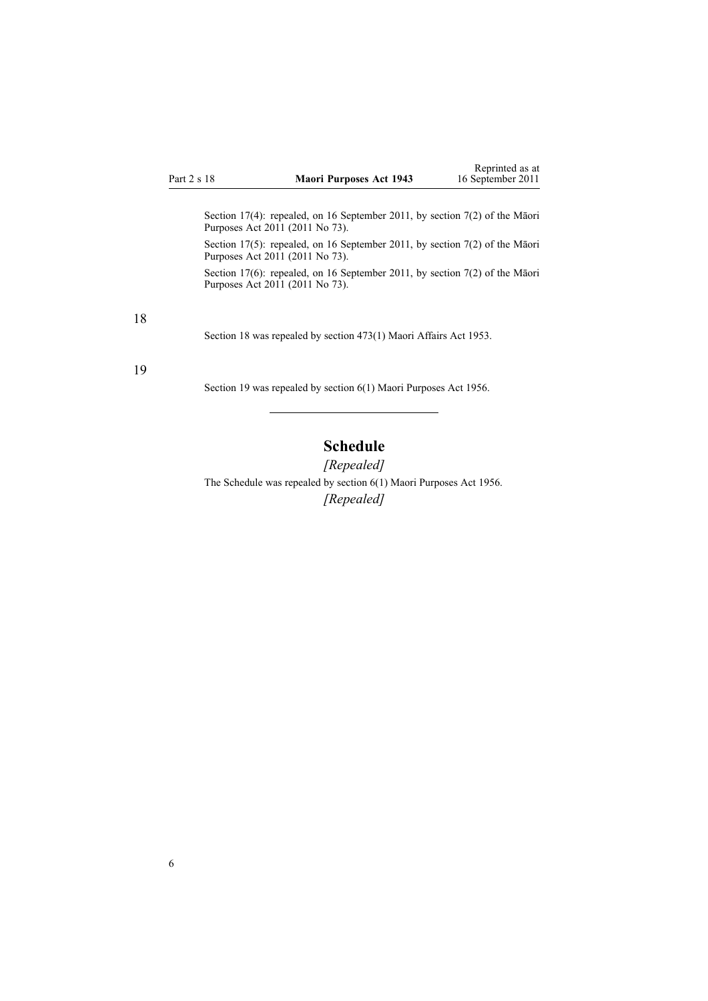<span id="page-5-0"></span>Section 17(4): repealed, on 16 September 2011, by [section](http://www.legislation.govt.nz/pdflink.aspx?id=DLM3335277) 7(2) of the Māori Purposes Act 2011 (2011 No 73).

Section 17(5): repealed, on 16 September 2011, by [section](http://www.legislation.govt.nz/pdflink.aspx?id=DLM3335277) 7(2) of the Māori Purposes Act 2011 (2011 No 73).

Section 17(6): repealed, on 16 September 2011, by [section](http://www.legislation.govt.nz/pdflink.aspx?id=DLM3335277) 7(2) of the Māori Purposes Act 2011 (2011 No 73).

18

Section 18 was repealed by section 473(1) Maori Affairs Act 1953.

#### 19

Section 19 was repealed by section [6\(1\)](http://www.legislation.govt.nz/pdflink.aspx?id=DLM294765) Maori Purposes Act 1956.

# **Schedule**

*[Repealed]* The Schedule was repealed by section [6\(1\)](http://www.legislation.govt.nz/pdflink.aspx?id=DLM294765) Maori Purposes Act 1956. *[Repealed]*